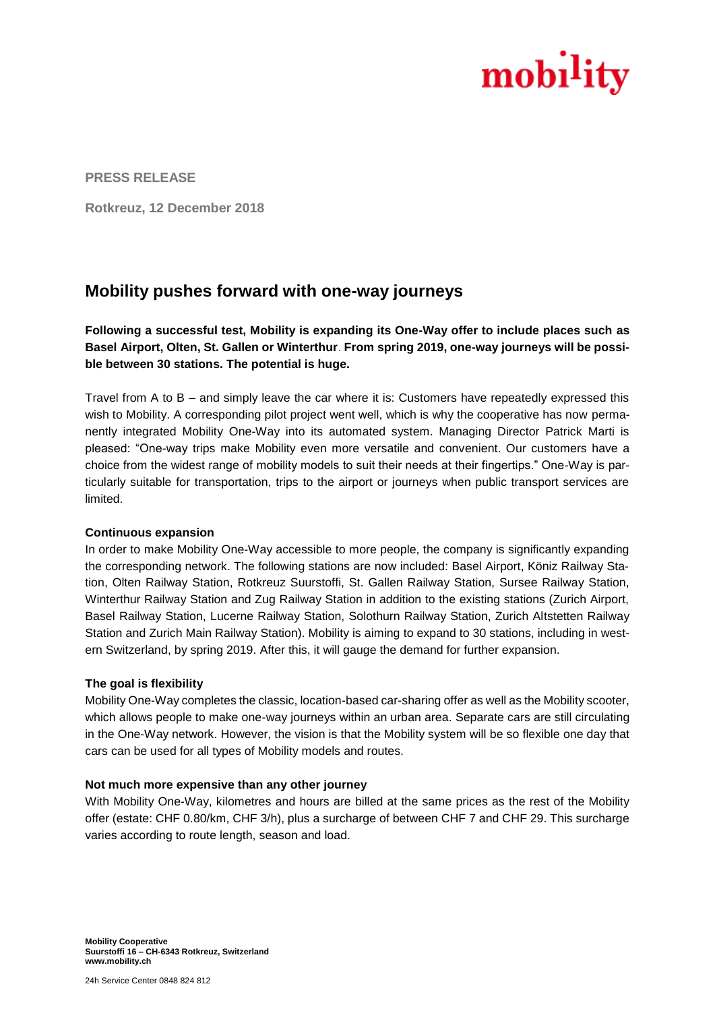

**PRESS RELEASE**

**Rotkreuz, 12 December 2018** 

# **Mobility pushes forward with one-way journeys**

**Following a successful test, Mobility is expanding its One-Way offer to include places such as Basel Airport, Olten, St. Gallen or Winterthur**. **From spring 2019, one-way journeys will be possible between 30 stations. The potential is huge.**

Travel from A to B – and simply leave the car where it is: Customers have repeatedly expressed this wish to Mobility. A corresponding pilot project went well, which is why the cooperative has now permanently integrated Mobility One-Way into its automated system. Managing Director Patrick Marti is pleased: "One-way trips make Mobility even more versatile and convenient. Our customers have a choice from the widest range of mobility models to suit their needs at their fingertips." One-Way is particularly suitable for transportation, trips to the airport or journeys when public transport services are limited.

# **Continuous expansion**

In order to make Mobility One-Way accessible to more people, the company is significantly expanding the corresponding network. The following stations are now included: Basel Airport, Köniz Railway Station, Olten Railway Station, Rotkreuz Suurstoffi, St. Gallen Railway Station, Sursee Railway Station, Winterthur Railway Station and Zug Railway Station in addition to the existing stations (Zurich Airport, Basel Railway Station, Lucerne Railway Station, Solothurn Railway Station, Zurich Altstetten Railway Station and Zurich Main Railway Station). Mobility is aiming to expand to 30 stations, including in western Switzerland, by spring 2019. After this, it will gauge the demand for further expansion.

# **The goal is flexibility**

Mobility One-Way completes the classic, location-based car-sharing offer as well as the Mobility scooter, which allows people to make one-way journeys within an urban area. Separate cars are still circulating in the One-Way network. However, the vision is that the Mobility system will be so flexible one day that cars can be used for all types of Mobility models and routes.

#### **Not much more expensive than any other journey**

With Mobility One-Way, kilometres and hours are billed at the same prices as the rest of the Mobility offer (estate: CHF 0.80/km, CHF 3/h), plus a surcharge of between CHF 7 and CHF 29. This surcharge varies according to route length, season and load.